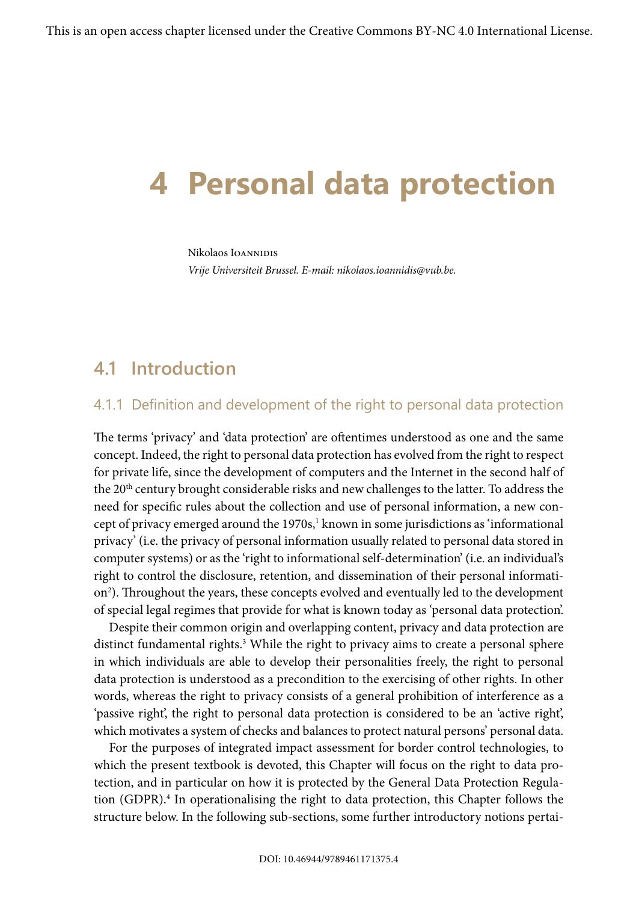# **4 Personal data protection**

Nikolaos IOANNIDIS *Vrije Universiteit Brussel. E-mail: nikolaos.ioannidis@vub.be.*

# **4.1 Introduction**

# 4.1.1 Definition and development of the right to personal data protection

The terms 'privacy' and 'data protection' are oftentimes understood as one and the same concept. Indeed, the right to personal data protection has evolved from the right to respect for private life, since the development of computers and the Internet in the second half of the 20<sup>th</sup> century brought considerable risks and new challenges to the latter. To address the need for specific rules about the collection and use of personal information, a new concept of privacy emerged around the  $1970s$ , $^1$  known in some jurisdictions as 'informational privacy' (i.e. the privacy of personal information usually related to personal data stored in computer systems) or as the 'right to informational self-determination' (i.e. an individual's right to control the disclosure, retention, and dissemination of their personal information2 ). Throughout the years, these concepts evolved and eventually led to the development of special legal regimes that provide for what is known today as 'personal data protection'.

Despite their common origin and overlapping content, privacy and data protection are distinct fundamental rights.3 While the right to privacy aims to create a personal sphere in which individuals are able to develop their personalities freely, the right to personal data protection is understood as a precondition to the exercising of other rights. In other words, whereas the right to privacy consists of a general prohibition of interference as a 'passive right', the right to personal data protection is considered to be an 'active right', which motivates a system of checks and balances to protect natural persons' personal data.

For the purposes of integrated impact assessment for border control technologies, to which the present textbook is devoted, this Chapter will focus on the right to data protection, and in particular on how it is protected by the General Data Protection Regulation (GDPR).<sup>4</sup> In operationalising the right to data protection, this Chapter follows the structure below. In the following sub-sections, some further introductory notions pertai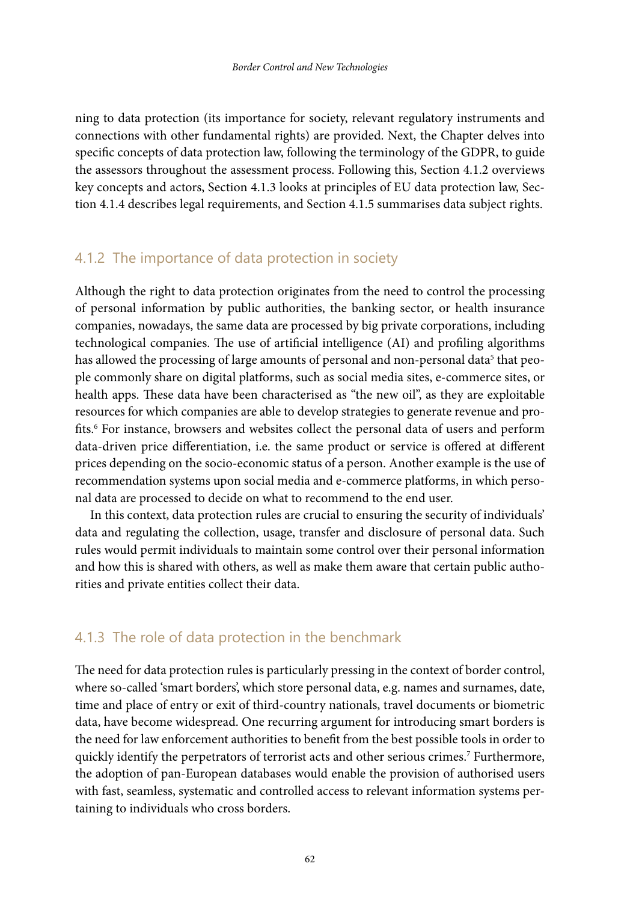ning to data protection (its importance for society, relevant regulatory instruments and connections with other fundamental rights) are provided. Next, the Chapter delves into specific concepts of data protection law, following the terminology of the GDPR, to guide the assessors throughout the assessment process. Following this, Section 4.1.2 overviews key concepts and actors, Section 4.1.3 looks at principles of EU data protection law, Section 4.1.4 describes legal requirements, and Section 4.1.5 summarises data subject rights.

### 4.1.2 The importance of data protection in society

Although the right to data protection originates from the need to control the processing of personal information by public authorities, the banking sector, or health insurance companies, nowadays, the same data are processed by big private corporations, including technological companies. The use of artificial intelligence (AI) and profiling algorithms has allowed the processing of large amounts of personal and non-personal data<sup>5</sup> that people commonly share on digital platforms, such as social media sites, e-commerce sites, or health apps. These data have been characterised as "the new oil", as they are exploitable resources for which companies are able to develop strategies to generate revenue and profits.6 For instance, browsers and websites collect the personal data of users and perform data-driven price differentiation, i.e. the same product or service is offered at different prices depending on the socio-economic status of a person. Another example is the use of recommendation systems upon social media and e-commerce platforms, in which personal data are processed to decide on what to recommend to the end user.

In this context, data protection rules are crucial to ensuring the security of individuals' data and regulating the collection, usage, transfer and disclosure of personal data. Such rules would permit individuals to maintain some control over their personal information and how this is shared with others, as well as make them aware that certain public authorities and private entities collect their data.

#### 4.1.3 The role of data protection in the benchmark

The need for data protection rules is particularly pressing in the context of border control, where so-called 'smart borders', which store personal data, e.g. names and surnames, date, time and place of entry or exit of third-country nationals, travel documents or biometric data, have become widespread. One recurring argument for introducing smart borders is the need for law enforcement authorities to benefit from the best possible tools in order to quickly identify the perpetrators of terrorist acts and other serious crimes.7 Furthermore, the adoption of pan-European databases would enable the provision of authorised users with fast, seamless, systematic and controlled access to relevant information systems pertaining to individuals who cross borders.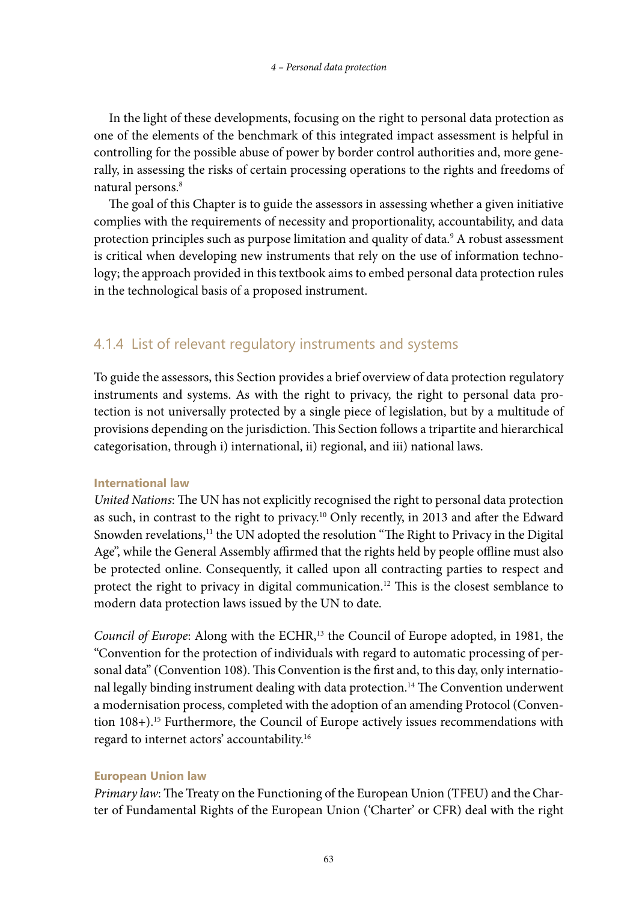In the light of these developments, focusing on the right to personal data protection as one of the elements of the benchmark of this integrated impact assessment is helpful in controlling for the possible abuse of power by border control authorities and, more generally, in assessing the risks of certain processing operations to the rights and freedoms of natural persons.<sup>8</sup>

The goal of this Chapter is to guide the assessors in assessing whether a given initiative complies with the requirements of necessity and proportionality, accountability, and data protection principles such as purpose limitation and quality of data.<sup>9</sup> A robust assessment is critical when developing new instruments that rely on the use of information technology; the approach provided in this textbook aims to embed personal data protection rules in the technological basis of a proposed instrument.

# 4.1.4 List of relevant regulatory instruments and systems

To guide the assessors, this Section provides a brief overview of data protection regulatory instruments and systems. As with the right to privacy, the right to personal data protection is not universally protected by a single piece of legislation, but by a multitude of provisions depending on the jurisdiction. This Section follows a tripartite and hierarchical categorisation, through i) international, ii) regional, and iii) national laws.

### **International law**

*United Nations*: The UN has not explicitly recognised the right to personal data protection as such, in contrast to the right to privacy.10 Only recently, in 2013 and after the Edward Snowden revelations, $11$  the UN adopted the resolution "The Right to Privacy in the Digital Age", while the General Assembly affirmed that the rights held by people offline must also be protected online. Consequently, it called upon all contracting parties to respect and protect the right to privacy in digital communication.<sup>12</sup> This is the closest semblance to modern data protection laws issued by the UN to date.

*Council of Europe*: Along with the ECHR,<sup>13</sup> the Council of Europe adopted, in 1981, the "Convention for the protection of individuals with regard to automatic processing of personal data" (Convention 108). This Convention is the first and, to this day, only international legally binding instrument dealing with data protection.14 The Convention underwent a modernisation process, completed with the adoption of an amending Protocol (Convention 108+).<sup>15</sup> Furthermore, the Council of Europe actively issues recommendations with regard to internet actors' accountability.16

# **European Union law**

*Primary law*: The Treaty on the Functioning of the European Union (TFEU) and the Charter of Fundamental Rights of the European Union ('Charter' or CFR) deal with the right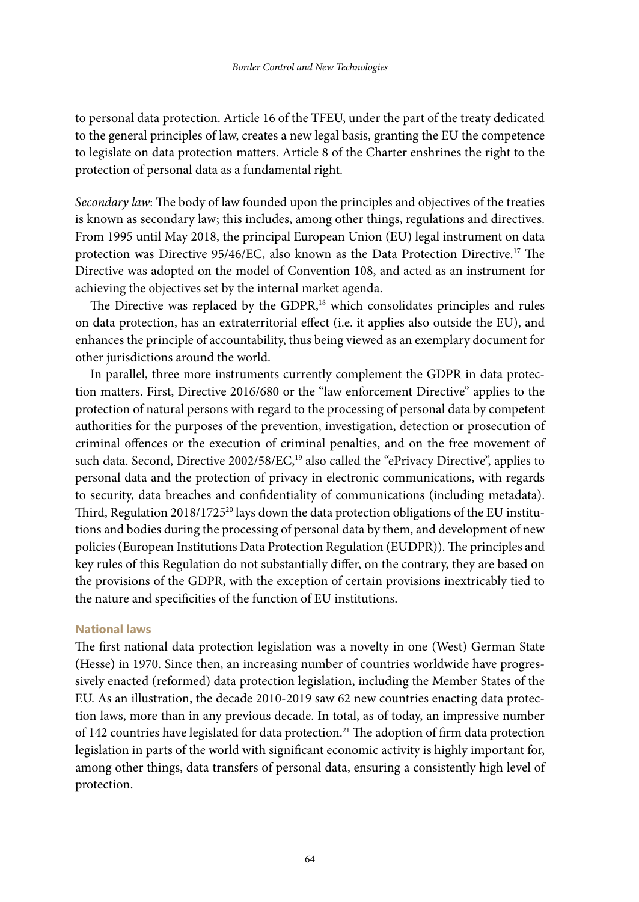to personal data protection. Article 16 of the TFEU, under the part of the treaty dedicated to the general principles of law, creates a new legal basis, granting the EU the competence to legislate on data protection matters. Article 8 of the Charter enshrines the right to the protection of personal data as a fundamental right.

*Secondary law*: The body of law founded upon the principles and objectives of the treaties is known as secondary law; this includes, among other things, regulations and directives. From 1995 until May 2018, the principal European Union (EU) legal instrument on data protection was Directive 95/46/EC, also known as the Data Protection Directive.17 The Directive was adopted on the model of Convention 108, and acted as an instrument for achieving the objectives set by the internal market agenda.

The Directive was replaced by the GDPR,<sup>18</sup> which consolidates principles and rules on data protection, has an extraterritorial effect (i.e. it applies also outside the EU), and enhances the principle of accountability, thus being viewed as an exemplary document for other jurisdictions around the world.

In parallel, three more instruments currently complement the GDPR in data protection matters. First, Directive 2016/680 or the "law enforcement Directive" applies to the protection of natural persons with regard to the processing of personal data by competent authorities for the purposes of the prevention, investigation, detection or prosecution of criminal offences or the execution of criminal penalties, and on the free movement of such data. Second, Directive 2002/58/EC,<sup>19</sup> also called the "ePrivacy Directive", applies to personal data and the protection of privacy in electronic communications, with regards to security, data breaches and confidentiality of communications (including metadata). Third, Regulation 2018/1725<sup>20</sup> lays down the data protection obligations of the EU institutions and bodies during the processing of personal data by them, and development of new policies (European Institutions Data Protection Regulation (EUDPR)). The principles and key rules of this Regulation do not substantially differ, on the contrary, they are based on the provisions of the GDPR, with the exception of certain provisions inextricably tied to the nature and specificities of the function of EU institutions.

#### **National laws**

The first national data protection legislation was a novelty in one (West) German State (Hesse) in 1970. Since then, an increasing number of countries worldwide have progressively enacted (reformed) data protection legislation, including the Member States of the EU. As an illustration, the decade 2010-2019 saw 62 new countries enacting data protection laws, more than in any previous decade. In total, as of today, an impressive number of 142 countries have legislated for data protection.<sup>21</sup> The adoption of firm data protection legislation in parts of the world with significant economic activity is highly important for, among other things, data transfers of personal data, ensuring a consistently high level of protection.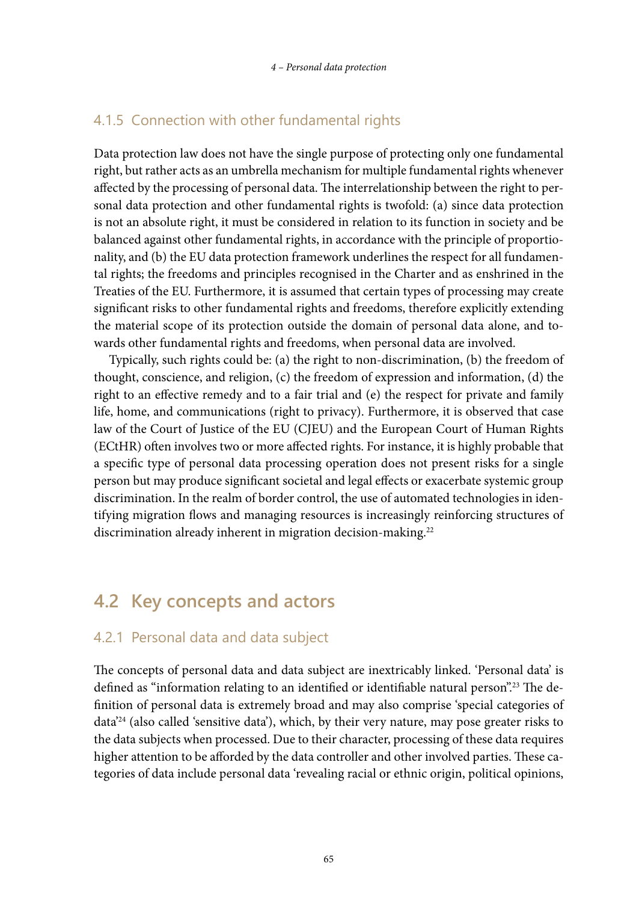#### 4.1.5 Connection with other fundamental rights

Data protection law does not have the single purpose of protecting only one fundamental right, but rather acts as an umbrella mechanism for multiple fundamental rights whenever affected by the processing of personal data. The interrelationship between the right to personal data protection and other fundamental rights is twofold: (a) since data protection is not an absolute right, it must be considered in relation to its function in society and be balanced against other fundamental rights, in accordance with the principle of proportionality, and (b) the EU data protection framework underlines the respect for all fundamental rights; the freedoms and principles recognised in the Charter and as enshrined in the Treaties of the EU. Furthermore, it is assumed that certain types of processing may create significant risks to other fundamental rights and freedoms, therefore explicitly extending the material scope of its protection outside the domain of personal data alone, and towards other fundamental rights and freedoms, when personal data are involved.

Typically, such rights could be: (a) the right to non-discrimination, (b) the freedom of thought, conscience, and religion, (c) the freedom of expression and information, (d) the right to an effective remedy and to a fair trial and (e) the respect for private and family life, home, and communications (right to privacy). Furthermore, it is observed that case law of the Court of Justice of the EU (CJEU) and the European Court of Human Rights (ECtHR) often involves two or more affected rights. For instance, it is highly probable that a specific type of personal data processing operation does not present risks for a single person but may produce significant societal and legal effects or exacerbate systemic group discrimination. In the realm of border control, the use of automated technologies in identifying migration flows and managing resources is increasingly reinforcing structures of discrimination already inherent in migration decision-making.<sup>22</sup>

# **4.2 Key concepts and actors**

#### 4.2.1 Personal data and data subject

The concepts of personal data and data subject are inextricably linked. 'Personal data' is defined as "information relating to an identified or identifiable natural person".23 The definition of personal data is extremely broad and may also comprise 'special categories of data'24 (also called 'sensitive data'), which, by their very nature, may pose greater risks to the data subjects when processed. Due to their character, processing of these data requires higher attention to be afforded by the data controller and other involved parties. These categories of data include personal data 'revealing racial or ethnic origin, political opinions,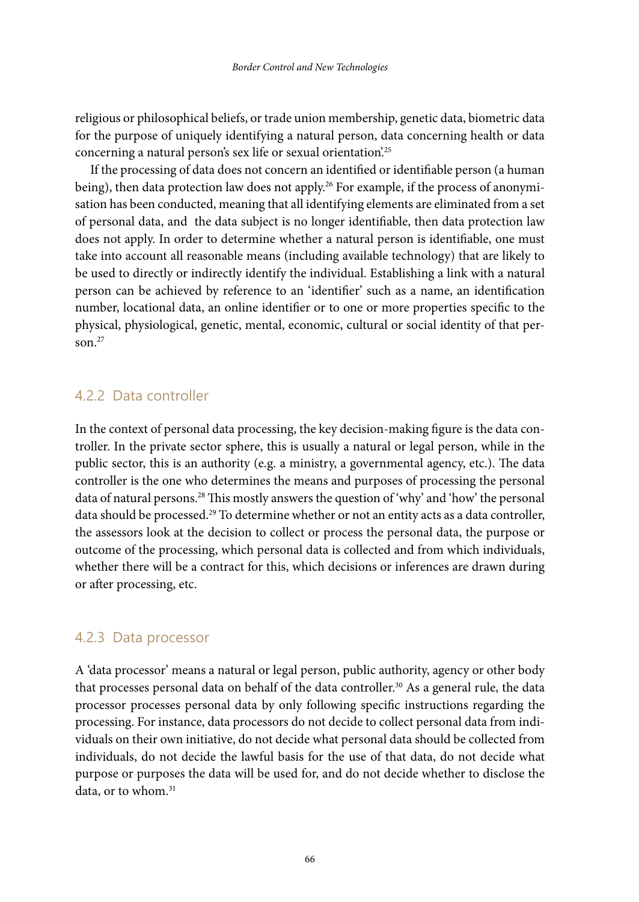religious or philosophical beliefs, or trade union membership, genetic data, biometric data for the purpose of uniquely identifying a natural person, data concerning health or data concerning a natural person's sex life or sexual orientation.<sup>25</sup>

If the processing of data does not concern an identified or identifiable person (a human being), then data protection law does not apply.<sup>26</sup> For example, if the process of anonymisation has been conducted, meaning that all identifying elements are eliminated from a set of personal data, and the data subject is no longer identifiable, then data protection law does not apply. In order to determine whether a natural person is identifiable, one must take into account all reasonable means (including available technology) that are likely to be used to directly or indirectly identify the individual. Establishing a link with a natural person can be achieved by reference to an 'identifier' such as a name, an identification number, locational data, an online identifier or to one or more properties specific to the physical, physiological, genetic, mental, economic, cultural or social identity of that person. $27$ 

#### 4.2.2 Data controller

In the context of personal data processing, the key decision-making figure is the data controller. In the private sector sphere, this is usually a natural or legal person, while in the public sector, this is an authority (e.g. a ministry, a governmental agency, etc.). The data controller is the one who determines the means and purposes of processing the personal data of natural persons.<sup>28</sup> This mostly answers the question of 'why' and 'how' the personal data should be processed.<sup>29</sup> To determine whether or not an entity acts as a data controller, the assessors look at the decision to collect or process the personal data, the purpose or outcome of the processing, which personal data is collected and from which individuals, whether there will be a contract for this, which decisions or inferences are drawn during or after processing, etc.

#### 4.2.3 Data processor

A 'data processor' means a natural or legal person, public authority, agency or other body that processes personal data on behalf of the data controller.<sup>30</sup> As a general rule, the data processor processes personal data by only following specific instructions regarding the processing. For instance, data processors do not decide to collect personal data from individuals on their own initiative, do not decide what personal data should be collected from individuals, do not decide the lawful basis for the use of that data, do not decide what purpose or purposes the data will be used for, and do not decide whether to disclose the data, or to whom.<sup>31</sup>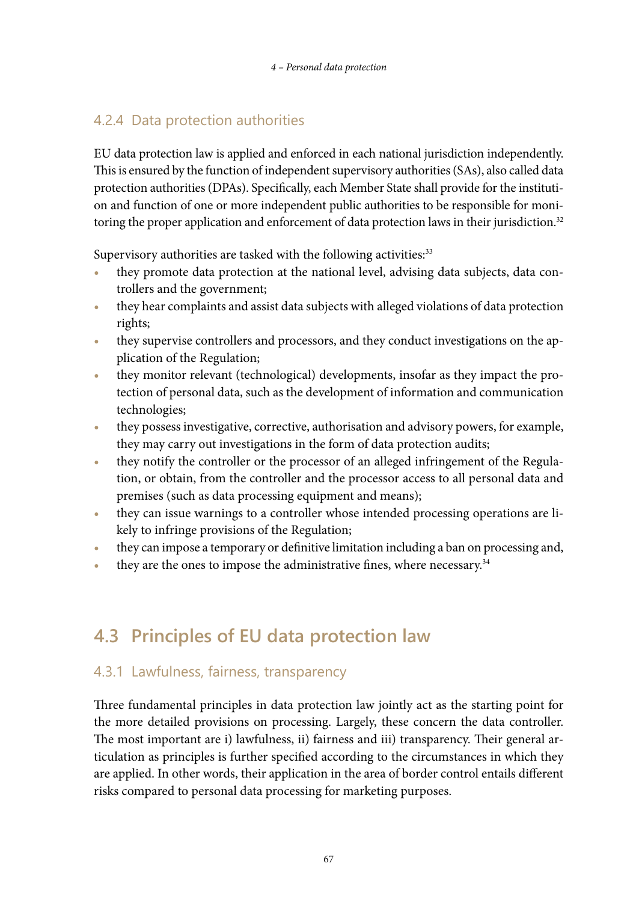# 4.2.4 Data protection authorities

EU data protection law is applied and enforced in each national jurisdiction independently. This is ensured by the function of independent supervisory authorities (SAs), also called data protection authorities (DPAs). Specifically, each Member State shall provide for the institution and function of one or more independent public authorities to be responsible for monitoring the proper application and enforcement of data protection laws in their jurisdiction.<sup>32</sup>

Supervisory authorities are tasked with the following activities:<sup>33</sup>

- **•** they promote data protection at the national level, advising data subjects, data controllers and the government;
- they hear complaints and assist data subjects with alleged violations of data protection rights;
- they supervise controllers and processors, and they conduct investigations on the application of the Regulation;
- **•** they monitor relevant (technological) developments, insofar as they impact the protection of personal data, such as the development of information and communication technologies;
- they possess investigative, corrective, authorisation and advisory powers, for example, they may carry out investigations in the form of data protection audits;
- they notify the controller or the processor of an alleged infringement of the Regulation, or obtain, from the controller and the processor access to all personal data and premises (such as data processing equipment and means);
- **•** they can issue warnings to a controller whose intended processing operations are likely to infringe provisions of the Regulation;
- they can impose a temporary or definitive limitation including a ban on processing and,
- they are the ones to impose the administrative fines, where necessary.<sup>34</sup>

# **4.3 Principles of EU data protection law**

# 4.3.1 Lawfulness, fairness, transparency

Three fundamental principles in data protection law jointly act as the starting point for the more detailed provisions on processing. Largely, these concern the data controller. The most important are i) lawfulness, ii) fairness and iii) transparency. Their general articulation as principles is further specified according to the circumstances in which they are applied. In other words, their application in the area of border control entails different risks compared to personal data processing for marketing purposes.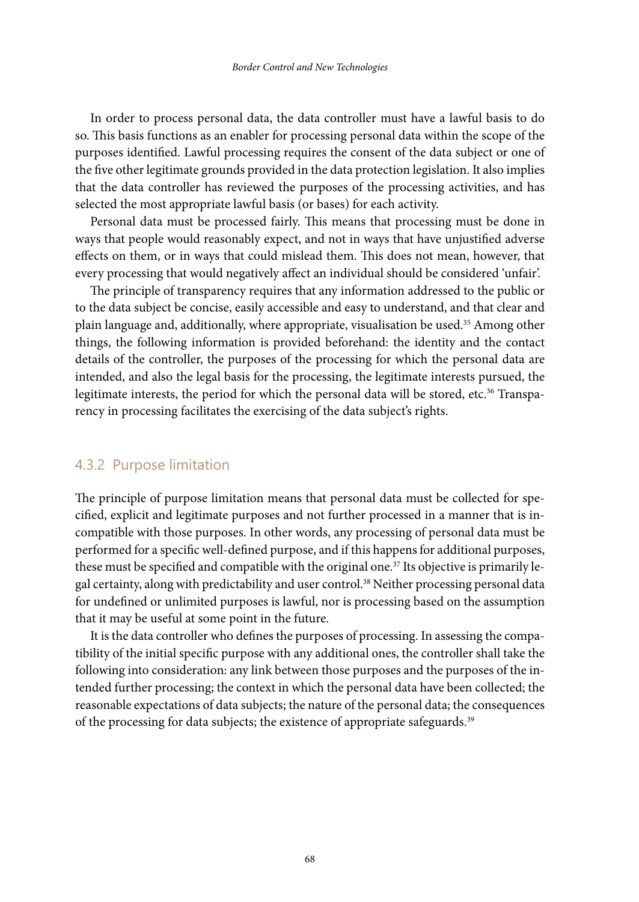In order to process personal data, the data controller must have a lawful basis to do so. This basis functions as an enabler for processing personal data within the scope of the purposes identified. Lawful processing requires the consent of the data subject or one of the five other legitimate grounds provided in the data protection legislation. It also implies that the data controller has reviewed the purposes of the processing activities, and has selected the most appropriate lawful basis (or bases) for each activity.

Personal data must be processed fairly. This means that processing must be done in ways that people would reasonably expect, and not in ways that have unjustified adverse effects on them, or in ways that could mislead them. This does not mean, however, that every processing that would negatively affect an individual should be considered 'unfair'.

The principle of transparency requires that any information addressed to the public or to the data subject be concise, easily accessible and easy to understand, and that clear and plain language and, additionally, where appropriate, visualisation be used.35 Among other things, the following information is provided beforehand: the identity and the contact details of the controller, the purposes of the processing for which the personal data are intended, and also the legal basis for the processing, the legitimate interests pursued, the legitimate interests, the period for which the personal data will be stored, etc.<sup>36</sup> Transparency in processing facilitates the exercising of the data subject's rights.

#### 4.3.2 Purpose limitation

The principle of purpose limitation means that personal data must be collected for specified, explicit and legitimate purposes and not further processed in a manner that is incompatible with those purposes. In other words, any processing of personal data must be performed for a specific well-defined purpose, and if this happens for additional purposes, these must be specified and compatible with the original one.<sup>37</sup> Its objective is primarily legal certainty, along with predictability and user control.38 Neither processing personal data for undefined or unlimited purposes is lawful, nor is processing based on the assumption that it may be useful at some point in the future.

It is the data controller who defines the purposes of processing. In assessing the compatibility of the initial specific purpose with any additional ones, the controller shall take the following into consideration: any link between those purposes and the purposes of the intended further processing; the context in which the personal data have been collected; the reasonable expectations of data subjects; the nature of the personal data; the consequences of the processing for data subjects; the existence of appropriate safeguards.<sup>39</sup>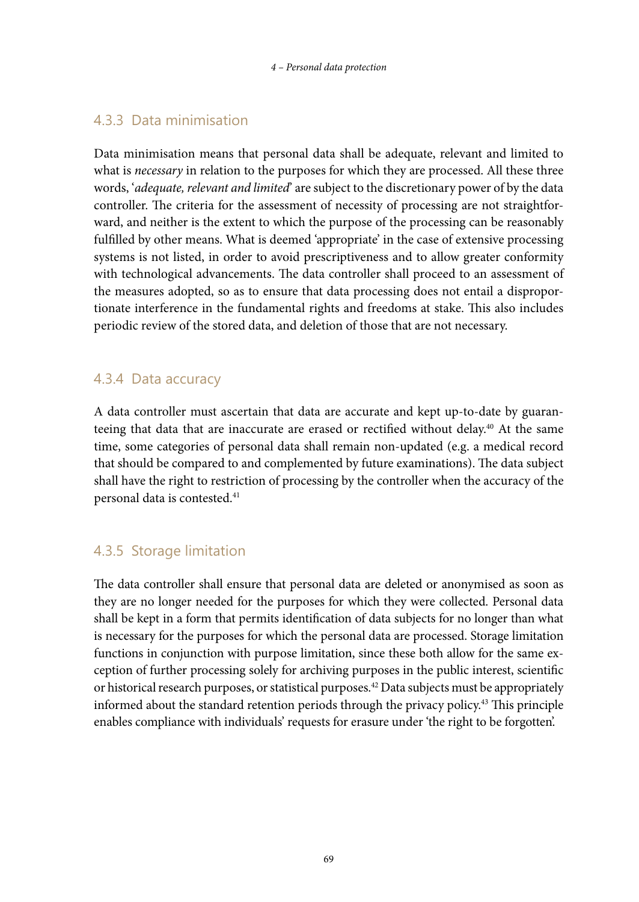# 4.3.3 Data minimisation

Data minimisation means that personal data shall be adequate, relevant and limited to what is *necessary* in relation to the purposes for which they are processed. All these three words, '*adequate, relevant and limited*' are subject to the discretionary power of by the data controller. The criteria for the assessment of necessity of processing are not straightforward, and neither is the extent to which the purpose of the processing can be reasonably fulfilled by other means. What is deemed 'appropriate' in the case of extensive processing systems is not listed, in order to avoid prescriptiveness and to allow greater conformity with technological advancements. The data controller shall proceed to an assessment of the measures adopted, so as to ensure that data processing does not entail a disproportionate interference in the fundamental rights and freedoms at stake. This also includes periodic review of the stored data, and deletion of those that are not necessary.

# 4.3.4 Data accuracy

A data controller must ascertain that data are accurate and kept up-to-date by guaranteeing that data that are inaccurate are erased or rectified without delay.40 At the same time, some categories of personal data shall remain non-updated (e.g. a medical record that should be compared to and complemented by future examinations). The data subject shall have the right to restriction of processing by the controller when the accuracy of the personal data is contested.<sup>41</sup>

# 4.3.5 Storage limitation

The data controller shall ensure that personal data are deleted or anonymised as soon as they are no longer needed for the purposes for which they were collected. Personal data shall be kept in a form that permits identification of data subjects for no longer than what is necessary for the purposes for which the personal data are processed. Storage limitation functions in conjunction with purpose limitation, since these both allow for the same exception of further processing solely for archiving purposes in the public interest, scientific or historical research purposes, or statistical purposes.42 Data subjects must be appropriately informed about the standard retention periods through the privacy policy.43 This principle enables compliance with individuals' requests for erasure under 'the right to be forgotten'.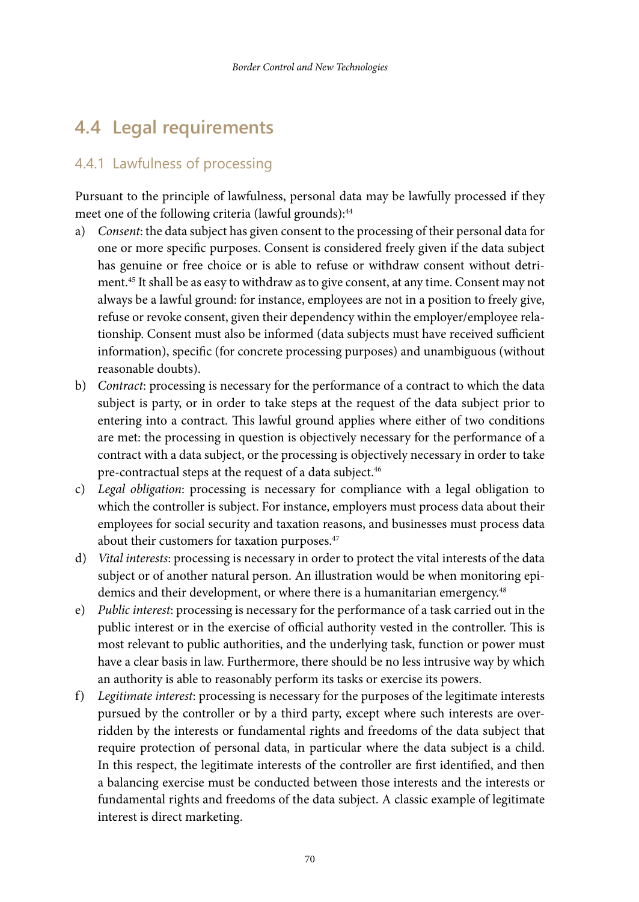# **4.4 Legal requirements**

# 4.4.1 Lawfulness of processing

Pursuant to the principle of lawfulness, personal data may be lawfully processed if they meet one of the following criteria (lawful grounds):<sup>44</sup>

- a) *Consent*: the data subject has given consent to the processing of their personal data for one or more specific purposes. Consent is considered freely given if the data subject has genuine or free choice or is able to refuse or withdraw consent without detriment.<sup>45</sup> It shall be as easy to withdraw as to give consent, at any time. Consent may not always be a lawful ground: for instance, employees are not in a position to freely give, refuse or revoke consent, given their dependency within the employer/employee relationship. Consent must also be informed (data subjects must have received sufficient information), specific (for concrete processing purposes) and unambiguous (without reasonable doubts).
- b) *Contract*: processing is necessary for the performance of a contract to which the data subject is party, or in order to take steps at the request of the data subject prior to entering into a contract. This lawful ground applies where either of two conditions are met: the processing in question is objectively necessary for the performance of a contract with a data subject, or the processing is objectively necessary in order to take pre-contractual steps at the request of a data subject.<sup>46</sup>
- c) *Legal obligation*: processing is necessary for compliance with a legal obligation to which the controller is subject. For instance, employers must process data about their employees for social security and taxation reasons, and businesses must process data about their customers for taxation purposes.<sup>47</sup>
- d) *Vital interests*: processing is necessary in order to protect the vital interests of the data subject or of another natural person. An illustration would be when monitoring epidemics and their development, or where there is a humanitarian emergency.<sup>48</sup>
- e) *Public interest*: processing is necessary for the performance of a task carried out in the public interest or in the exercise of official authority vested in the controller. This is most relevant to public authorities, and the underlying task, function or power must have a clear basis in law. Furthermore, there should be no less intrusive way by which an authority is able to reasonably perform its tasks or exercise its powers.
- f) *Legitimate interest*: processing is necessary for the purposes of the legitimate interests pursued by the controller or by a third party, except where such interests are overridden by the interests or fundamental rights and freedoms of the data subject that require protection of personal data, in particular where the data subject is a child. In this respect, the legitimate interests of the controller are first identified, and then a balancing exercise must be conducted between those interests and the interests or fundamental rights and freedoms of the data subject. A classic example of legitimate interest is direct marketing.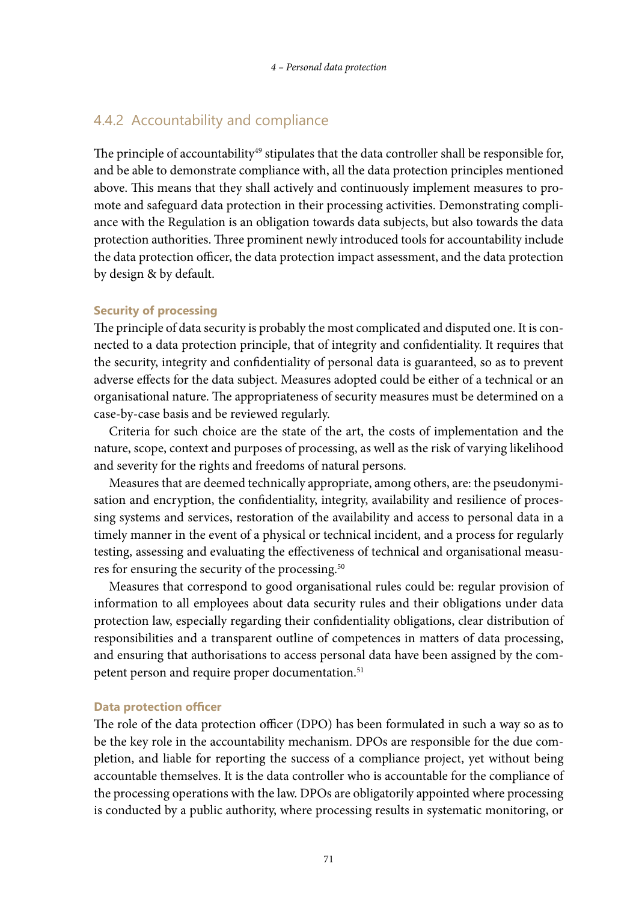#### 4.4.2 Accountability and compliance

The principle of accountability $49$  stipulates that the data controller shall be responsible for, and be able to demonstrate compliance with, all the data protection principles mentioned above. This means that they shall actively and continuously implement measures to promote and safeguard data protection in their processing activities. Demonstrating compliance with the Regulation is an obligation towards data subjects, but also towards the data protection authorities. Three prominent newly introduced tools for accountability include the data protection officer, the data protection impact assessment, and the data protection by design & by default.

#### **Security of processing**

The principle of data security is probably the most complicated and disputed one. It is connected to a data protection principle, that of integrity and confidentiality. It requires that the security, integrity and confidentiality of personal data is guaranteed, so as to prevent adverse effects for the data subject. Measures adopted could be either of a technical or an organisational nature. The appropriateness of security measures must be determined on a case-by-case basis and be reviewed regularly.

Criteria for such choice are the state of the art, the costs of implementation and the nature, scope, context and purposes of processing, as well as the risk of varying likelihood and severity for the rights and freedoms of natural persons.

Measures that are deemed technically appropriate, among others, are: the pseudonymisation and encryption, the confidentiality, integrity, availability and resilience of processing systems and services, restoration of the availability and access to personal data in a timely manner in the event of a physical or technical incident, and a process for regularly testing, assessing and evaluating the effectiveness of technical and organisational measures for ensuring the security of the processing.<sup>50</sup>

Measures that correspond to good organisational rules could be: regular provision of information to all employees about data security rules and their obligations under data protection law, especially regarding their confidentiality obligations, clear distribution of responsibilities and a transparent outline of competences in matters of data processing, and ensuring that authorisations to access personal data have been assigned by the competent person and require proper documentation.<sup>51</sup>

#### **Data protection officer**

The role of the data protection officer (DPO) has been formulated in such a way so as to be the key role in the accountability mechanism. DPOs are responsible for the due completion, and liable for reporting the success of a compliance project, yet without being accountable themselves. It is the data controller who is accountable for the compliance of the processing operations with the law. DPOs are obligatorily appointed where processing is conducted by a public authority, where processing results in systematic monitoring, or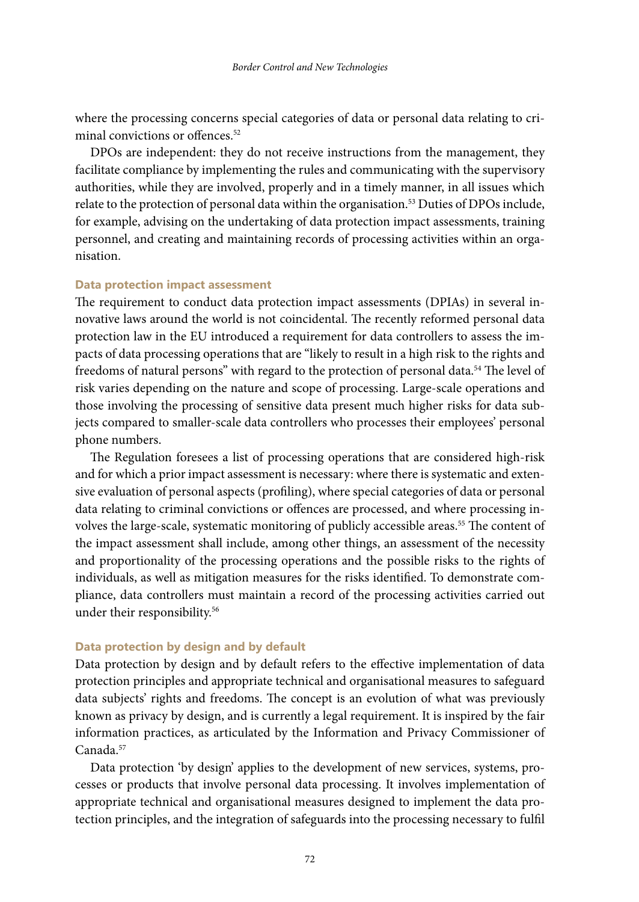where the processing concerns special categories of data or personal data relating to criminal convictions or offences.<sup>52</sup>

DPOs are independent: they do not receive instructions from the management, they facilitate compliance by implementing the rules and communicating with the supervisory authorities, while they are involved, properly and in a timely manner, in all issues which relate to the protection of personal data within the organisation.<sup>53</sup> Duties of DPOs include, for example, advising on the undertaking of data protection impact assessments, training personnel, and creating and maintaining records of processing activities within an organisation.

#### **Data protection impact assessment**

The requirement to conduct data protection impact assessments (DPIAs) in several innovative laws around the world is not coincidental. The recently reformed personal data protection law in the EU introduced a requirement for data controllers to assess the impacts of data processing operations that are "likely to result in a high risk to the rights and freedoms of natural persons" with regard to the protection of personal data.<sup>54</sup> The level of risk varies depending on the nature and scope of processing. Large-scale operations and those involving the processing of sensitive data present much higher risks for data subjects compared to smaller-scale data controllers who processes their employees' personal phone numbers.

The Regulation foresees a list of processing operations that are considered high-risk and for which a prior impact assessment is necessary: where there is systematic and extensive evaluation of personal aspects (profiling), where special categories of data or personal data relating to criminal convictions or offences are processed, and where processing involves the large-scale, systematic monitoring of publicly accessible areas.<sup>55</sup> The content of the impact assessment shall include, among other things, an assessment of the necessity and proportionality of the processing operations and the possible risks to the rights of individuals, as well as mitigation measures for the risks identified. To demonstrate compliance, data controllers must maintain a record of the processing activities carried out under their responsibility.<sup>56</sup>

#### **Data protection by design and by default**

Data protection by design and by default refers to the effective implementation of data protection principles and appropriate technical and organisational measures to safeguard data subjects' rights and freedoms. The concept is an evolution of what was previously known as privacy by design, and is currently a legal requirement. It is inspired by the fair information practices, as articulated by the Information and Privacy Commissioner of Canada.57

Data protection 'by design' applies to the development of new services, systems, processes or products that involve personal data processing. It involves implementation of appropriate technical and organisational measures designed to implement the data protection principles, and the integration of safeguards into the processing necessary to fulfil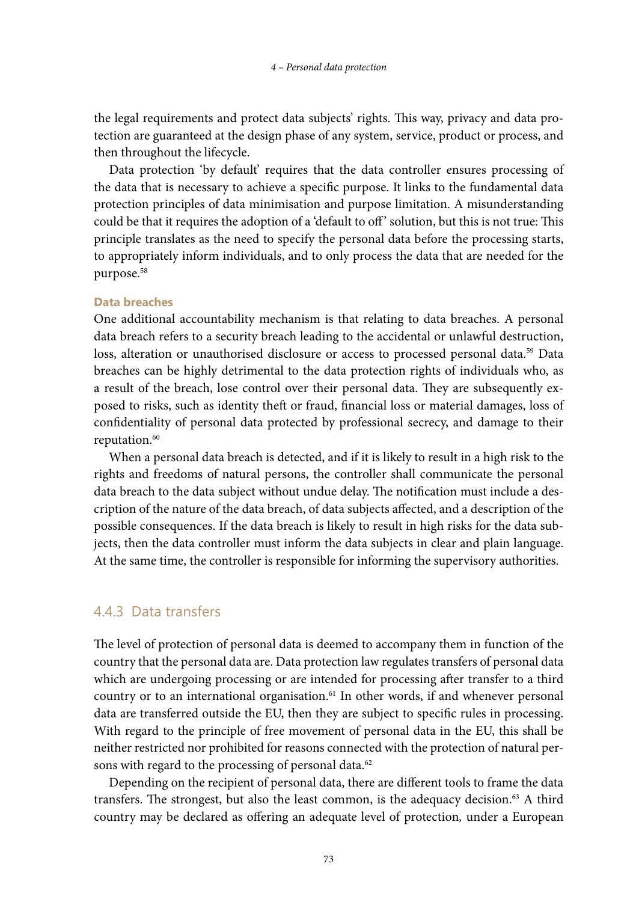the legal requirements and protect data subjects' rights. This way, privacy and data protection are guaranteed at the design phase of any system, service, product or process, and then throughout the lifecycle.

Data protection 'by default' requires that the data controller ensures processing of the data that is necessary to achieve a specific purpose. It links to the fundamental data protection principles of data minimisation and purpose limitation. A misunderstanding could be that it requires the adoption of a 'default to off ' solution, but this is not true: This principle translates as the need to specify the personal data before the processing starts, to appropriately inform individuals, and to only process the data that are needed for the purpose.58

#### **Data breaches**

One additional accountability mechanism is that relating to data breaches. A personal data breach refers to a security breach leading to the accidental or unlawful destruction, loss, alteration or unauthorised disclosure or access to processed personal data.<sup>59</sup> Data breaches can be highly detrimental to the data protection rights of individuals who, as a result of the breach, lose control over their personal data. They are subsequently exposed to risks, such as identity theft or fraud, financial loss or material damages, loss of confidentiality of personal data protected by professional secrecy, and damage to their reputation.<sup>60</sup>

When a personal data breach is detected, and if it is likely to result in a high risk to the rights and freedoms of natural persons, the controller shall communicate the personal data breach to the data subject without undue delay. The notification must include a description of the nature of the data breach, of data subjects affected, and a description of the possible consequences. If the data breach is likely to result in high risks for the data subjects, then the data controller must inform the data subjects in clear and plain language. At the same time, the controller is responsible for informing the supervisory authorities.

#### 4.4.3 Data transfers

The level of protection of personal data is deemed to accompany them in function of the country that the personal data are. Data protection law regulates transfers of personal data which are undergoing processing or are intended for processing after transfer to a third country or to an international organisation. $61$  In other words, if and whenever personal data are transferred outside the EU, then they are subject to specific rules in processing. With regard to the principle of free movement of personal data in the EU, this shall be neither restricted nor prohibited for reasons connected with the protection of natural persons with regard to the processing of personal data.<sup>62</sup>

Depending on the recipient of personal data, there are different tools to frame the data transfers. The strongest, but also the least common, is the adequacy decision.63 A third country may be declared as offering an adequate level of protection*,* under a European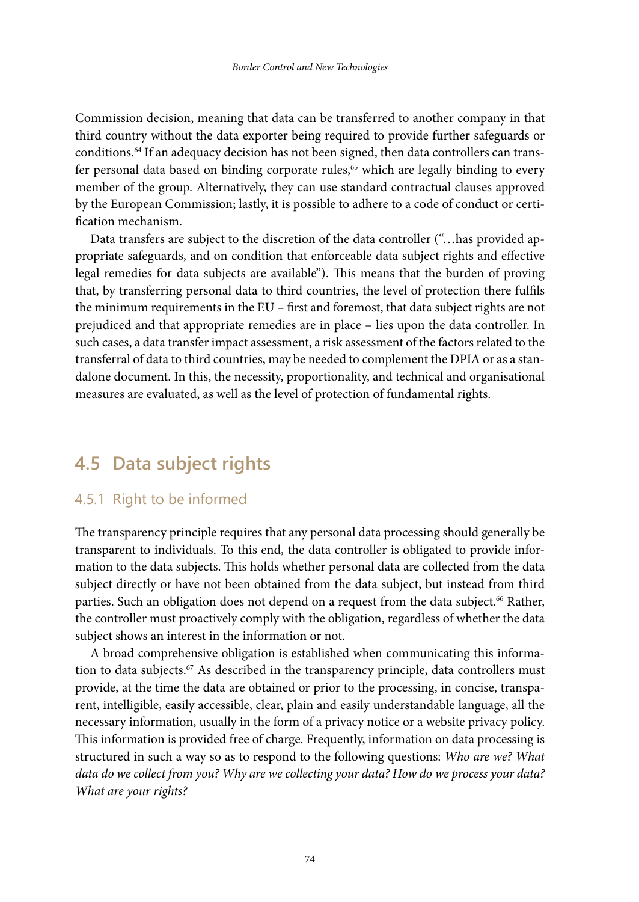Commission decision, meaning that data can be transferred to another company in that third country without the data exporter being required to provide further safeguards or conditions.64 If an adequacy decision has not been signed, then data controllers can transfer personal data based on binding corporate rules,<sup>65</sup> which are legally binding to every member of the group. Alternatively, they can use standard contractual clauses approved by the European Commission; lastly, it is possible to adhere to a code of conduct or certification mechanism.

Data transfers are subject to the discretion of the data controller ("…has provided appropriate safeguards, and on condition that enforceable data subject rights and effective legal remedies for data subjects are available"). This means that the burden of proving that, by transferring personal data to third countries, the level of protection there fulfils the minimum requirements in the EU – first and foremost, that data subject rights are not prejudiced and that appropriate remedies are in place – lies upon the data controller. In such cases, a data transfer impact assessment, a risk assessment of the factors related to the transferral of data to third countries, may be needed to complement the DPIA or as a standalone document. In this, the necessity, proportionality, and technical and organisational measures are evaluated, as well as the level of protection of fundamental rights.

# **4.5 Data subject rights**

### 4.5.1 Right to be informed

The transparency principle requires that any personal data processing should generally be transparent to individuals. To this end, the data controller is obligated to provide information to the data subjects. This holds whether personal data are collected from the data subject directly or have not been obtained from the data subject, but instead from third parties. Such an obligation does not depend on a request from the data subject.<sup>66</sup> Rather, the controller must proactively comply with the obligation, regardless of whether the data subject shows an interest in the information or not.

A broad comprehensive obligation is established when communicating this information to data subjects.67 As described in the transparency principle, data controllers must provide, at the time the data are obtained or prior to the processing, in concise, transparent, intelligible, easily accessible, clear, plain and easily understandable language, all the necessary information, usually in the form of a privacy notice or a website privacy policy. This information is provided free of charge. Frequently, information on data processing is structured in such a way so as to respond to the following questions: *Who are we? What data do we collect from you? Why are we collecting your data? How do we process your data? What are your rights?*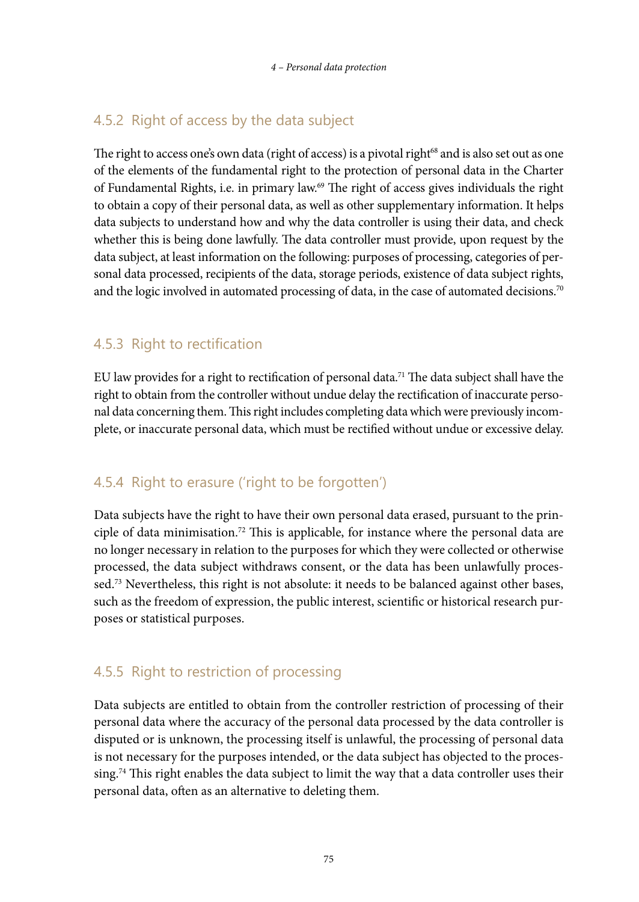# 4.5.2 Right of access by the data subject

The right to access one's own data (right of access) is a pivotal right<sup>68</sup> and is also set out as one of the elements of the fundamental right to the protection of personal data in the Charter of Fundamental Rights, i.e. in primary law.69 The right of access gives individuals the right to obtain a copy of their personal data, as well as other supplementary information. It helps data subjects to understand how and why the data controller is using their data, and check whether this is being done lawfully. The data controller must provide, upon request by the data subject, at least information on the following: purposes of processing, categories of personal data processed, recipients of the data, storage periods, existence of data subject rights, and the logic involved in automated processing of data, in the case of automated decisions.<sup>70</sup>

# 4.5.3 Right to rectification

EU law provides for a right to rectification of personal data.71 The data subject shall have the right to obtain from the controller without undue delay the rectification of inaccurate personal data concerning them. This right includes completing data which were previously incomplete, or inaccurate personal data, which must be rectified without undue or excessive delay.

# 4.5.4 Right to erasure ('right to be forgotten')

Data subjects have the right to have their own personal data erased, pursuant to the principle of data minimisation.72 This is applicable, for instance where the personal data are no longer necessary in relation to the purposes for which they were collected or otherwise processed, the data subject withdraws consent, or the data has been unlawfully processed.<sup>73</sup> Nevertheless, this right is not absolute: it needs to be balanced against other bases, such as the freedom of expression, the public interest, scientific or historical research purposes or statistical purposes.

# 4.5.5 Right to restriction of processing

Data subjects are entitled to obtain from the controller restriction of processing of their personal data where the accuracy of the personal data processed by the data controller is disputed or is unknown, the processing itself is unlawful, the processing of personal data is not necessary for the purposes intended, or the data subject has objected to the processing.74 This right enables the data subject to limit the way that a data controller uses their personal data, often as an alternative to deleting them.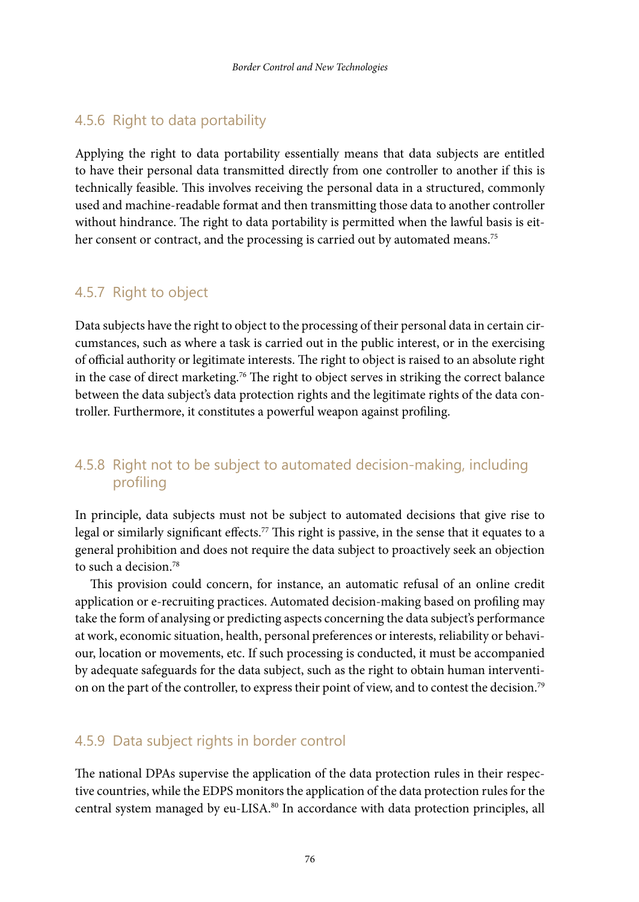### 4.5.6 Right to data portability

Applying the right to data portability essentially means that data subjects are entitled to have their personal data transmitted directly from one controller to another if this is technically feasible. This involves receiving the personal data in a structured, commonly used and machine-readable format and then transmitting those data to another controller without hindrance. The right to data portability is permitted when the lawful basis is either consent or contract, and the processing is carried out by automated means.<sup>75</sup>

# 4.5.7 Right to object

Data subjects have the right to object to the processing of their personal data in certain circumstances, such as where a task is carried out in the public interest, or in the exercising of official authority or legitimate interests. The right to object is raised to an absolute right in the case of direct marketing.<sup>76</sup> The right to object serves in striking the correct balance between the data subject's data protection rights and the legitimate rights of the data controller. Furthermore, it constitutes a powerful weapon against profiling.

# 4.5.8 Right not to be subject to automated decision-making, including profiling

In principle, data subjects must not be subject to automated decisions that give rise to legal or similarly significant effects.<sup>77</sup> This right is passive, in the sense that it equates to a general prohibition and does not require the data subject to proactively seek an objection to such a decision.78

This provision could concern, for instance, an automatic refusal of an online credit application or e-recruiting practices. Automated decision-making based on profiling may take the form of analysing or predicting aspects concerning the data subject's performance at work, economic situation, health, personal preferences or interests, reliability or behaviour, location or movements, etc. If such processing is conducted, it must be accompanied by adequate safeguards for the data subject, such as the right to obtain human intervention on the part of the controller, to express their point of view, and to contest the decision.79

### 4.5.9 Data subject rights in border control

The national DPAs supervise the application of the data protection rules in their respective countries, while the EDPS monitors the application of the data protection rules for the central system managed by eu-LISA.<sup>80</sup> In accordance with data protection principles, all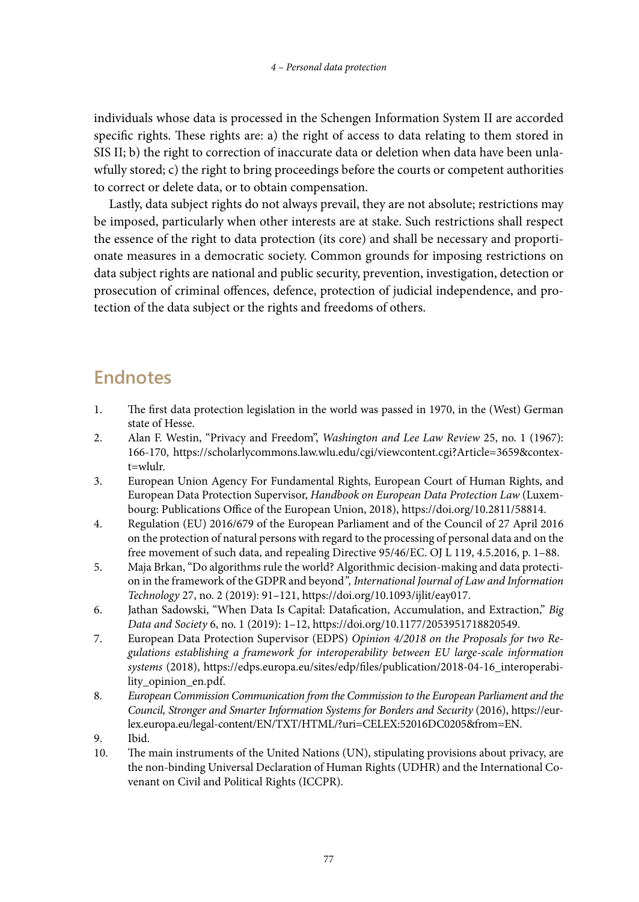individuals whose data is processed in the Schengen Information System II are accorded specific rights. These rights are: a) the right of access to data relating to them stored in SIS II; b) the right to correction of inaccurate data or deletion when data have been unlawfully stored; c) the right to bring proceedings before the courts or competent authorities to correct or delete data, or to obtain compensation.

Lastly, data subject rights do not always prevail, they are not absolute; restrictions may be imposed, particularly when other interests are at stake. Such restrictions shall respect the essence of the right to data protection (its core) and shall be necessary and proportionate measures in a democratic society. Common grounds for imposing restrictions on data subject rights are national and public security, prevention, investigation, detection or prosecution of criminal offences, defence, protection of judicial independence, and protection of the data subject or the rights and freedoms of others.

# **Endnotes**

- 1. The first data protection legislation in the world was passed in 1970, in the (West) German state of Hesse.
- 2. Alan F. Westin, "Privacy and Freedom", *Washington and Lee Law Review* 25, no. 1 (1967): 166-170, [https://scholarlycommons.law.wlu.edu/cgi/viewcontent.cgi?Article=3659&contex](https://scholarlycommons.law.wlu.edu/cgi/viewcontent.cgi?Article=3659&​context=wlulr)[t=wlulr.](https://scholarlycommons.law.wlu.edu/cgi/viewcontent.cgi?Article=3659&​context=wlulr)
- 3. European Union Agency For Fundamental Rights, European Court of Human Rights, and European Data Protection Supervisor, *Handbook on European Data Protection Law* (Luxembourg: Publications Office of the European Union, 2018),<https://doi.org/10.2811/58814>.
- 4. Regulation (EU) 2016/679 of the European Parliament and of the Council of 27 April 2016 on the protection of natural persons with regard to the processing of personal data and on the free movement of such data, and repealing Directive 95/46/EC. OJ L 119, 4.5.2016, p. 1–88.
- 5. Maja Brkan, "Do algorithms rule the world? Algorithmic decision-making and data protection in the framework of the GDPR and beyond*", International Journal of Law and Information Technology* 27, no. 2 (2019): 91–121, <https://doi.org/10.1093/ijlit/eay017>.
- 6. Jathan Sadowski, "When Data Is Capital: Datafication, Accumulation, and Extraction," *Big Data and Society* 6, no. 1 (2019): 1–12, <https://doi.org/10.1177/2053951718820549>.
- 7. European Data Protection Supervisor (EDPS) *Opinion 4/2018 on the Proposals for two Regulations establishing a framework for interoperability between EU large-scale information systems* (2018), [https://edps.europa.eu/sites/edp/files/publication/2018-04-16\\_interoperabi](https://edps.europa.eu/sites/edp/files/publication/2018-04-16_interoperability_opinion_en.pdf)[lity\\_opinion\\_en.pdf](https://edps.europa.eu/sites/edp/files/publication/2018-04-16_interoperability_opinion_en.pdf).
- 8. *European Commission Communication from the Commission to the European Parliament and the Council, Stronger and Smarter Information Systems for Borders and Security* (2016), [https://eur](https://eur-lex.europa.eu/legal-content/EN/TXT/HTML/?uri=CELEX)[lex.europa.eu/legal-content/EN/TXT/HTML/?uri=CELEX:](https://eur-lex.europa.eu/legal-content/EN/TXT/HTML/?uri=CELEX)52016DC0205&from=EN.
- 9. Ibid.
- 10. The main instruments of the United Nations (UN), stipulating provisions about privacy, are the non-binding Universal Declaration of Human Rights (UDHR) and the International Covenant on Civil and Political Rights (ICCPR).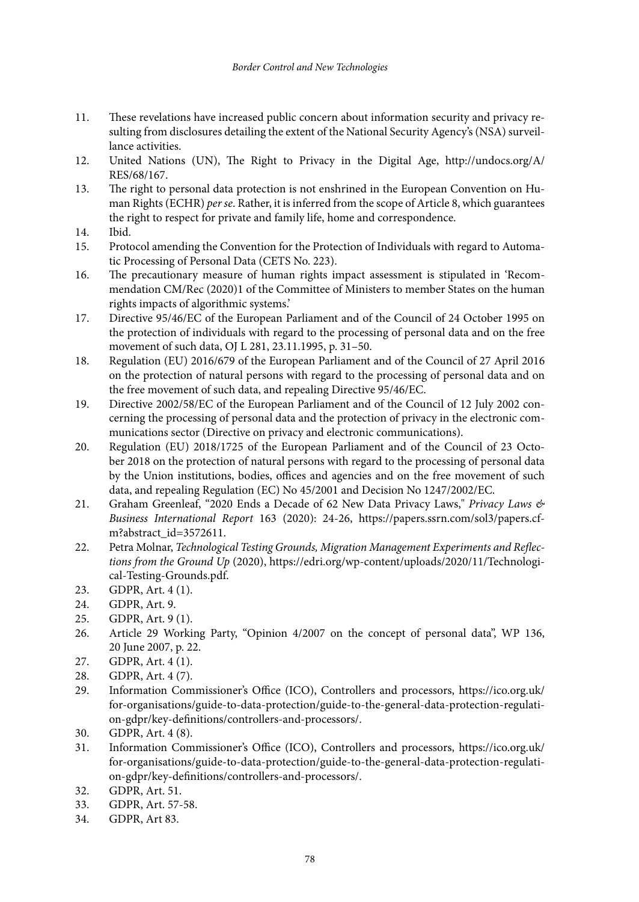- 11. These revelations have increased public concern about information security and privacy resulting from disclosures detailing the extent of the National Security Agency's (NSA) surveillance activities.
- 12. United Nations (UN), The Right to Privacy in the Digital Age, [http://undocs.org/A/](http://undocs.org/A/RES/68/167) [RES/68/167.](http://undocs.org/A/RES/68/167)
- 13. The right to personal data protection is not enshrined in the European Convention on Human Rights (ECHR) *per se*. Rather, it is inferred from the scope of Article 8, which guarantees the right to respect for private and family life, home and correspondence.
- 14. Ibid.
- 15. Protocol amending the Convention for the Protection of Individuals with regard to Automatic Processing of Personal Data (CETS No. 223).
- 16. The precautionary measure of human rights impact assessment is stipulated in 'Recommendation CM/Rec (2020)1 of the Committee of Ministers to member States on the human rights impacts of algorithmic systems.'
- 17. Directive 95/46/EC of the European Parliament and of the Council of 24 October 1995 on the protection of individuals with regard to the processing of personal data and on the free movement of such data, OJ L 281, 23.11.1995, p. 31–50.
- 18. Regulation (EU) 2016/679 of the European Parliament and of the Council of 27 April 2016 on the protection of natural persons with regard to the processing of personal data and on the free movement of such data, and repealing Directive 95/46/EC.
- 19. Directive 2002/58/EC of the European Parliament and of the Council of 12 July 2002 concerning the processing of personal data and the protection of privacy in the electronic communications sector (Directive on privacy and electronic communications).
- 20. Regulation (EU) 2018/1725 of the European Parliament and of the Council of 23 October 2018 on the protection of natural persons with regard to the processing of personal data by the Union institutions, bodies, offices and agencies and on the free movement of such data, and repealing Regulation (EC) No 45/2001 and Decision No 1247/2002/EC.
- 21. Graham Greenleaf, "2020 Ends a Decade of 62 New Data Privacy Laws," *Privacy Laws & Business International Report* 163 (2020): 24-26, [https://papers.ssrn.com/sol3/papers.cf](https://papers.ssrn.com/sol3/papers.cfm?abstract_id=3572611)[m?abstract\\_id=3572611.](https://papers.ssrn.com/sol3/papers.cfm?abstract_id=3572611)
- 22. Petra Molnar, *Technological Testing Grounds, Migration Management Experiments and Reflections from the Ground Up* (2020), [https://edri.org/wp-content/uploads/2020/11/Technologi](https://edri.org/wp-content/uploads/2020/11/Technological-Testing-Grounds.pdf)[cal-Testing-Grounds.pdf.](https://edri.org/wp-content/uploads/2020/11/Technological-Testing-Grounds.pdf)
- 23. GDPR, Art. 4 (1).
- 24. GDPR, Art. 9.
- 25. GDPR, Art. 9 (1).
- 26. Article 29 Working Party, "Opinion 4/2007 on the concept of personal data", WP 136, 20 June 2007, p. 22.
- 27. GDPR, Art. 4 (1).
- 28. GDPR, Art. 4 (7).
- 29. Information Commissioner's Office (ICO), Controllers and processors, [https://ico.org.uk/](https://ico.org.uk/for-organisations/guide-to-data-protection/guide-to-the-general-data-protection-regulation-gdpr/key-definitions/controllers-and-processors/) [for-organisations/guide-to-data-protection/guide-to-the-general-data-protection-regulati](https://ico.org.uk/for-organisations/guide-to-data-protection/guide-to-the-general-data-protection-regulation-gdpr/key-definitions/controllers-and-processors/)[on-gdpr/key-definitions/controllers-and-processors/.](https://ico.org.uk/for-organisations/guide-to-data-protection/guide-to-the-general-data-protection-regulation-gdpr/key-definitions/controllers-and-processors/)
- 30. GDPR, Art. 4 (8).<br>31 Information Com
- 31. Information Commissioner's Office (ICO), Controllers and processors, [https://ico.org.uk/](https://ico.org.uk/for-organisations/guide-to-data-protection/guide-to-the-general-data-protection-regulation-gdpr/key-definitions/controllers-and-processors/) [for-organisations/guide-to-data-protection/guide-to-the-general-data-protection-regulati](https://ico.org.uk/for-organisations/guide-to-data-protection/guide-to-the-general-data-protection-regulation-gdpr/key-definitions/controllers-and-processors/)[on-gdpr/key-definitions/controllers-and-processors/.](https://ico.org.uk/for-organisations/guide-to-data-protection/guide-to-the-general-data-protection-regulation-gdpr/key-definitions/controllers-and-processors/)
- 32. GDPR, Art. 51.
- 33. GDPR, Art. 57-58.
- 34. GDPR, Art 83.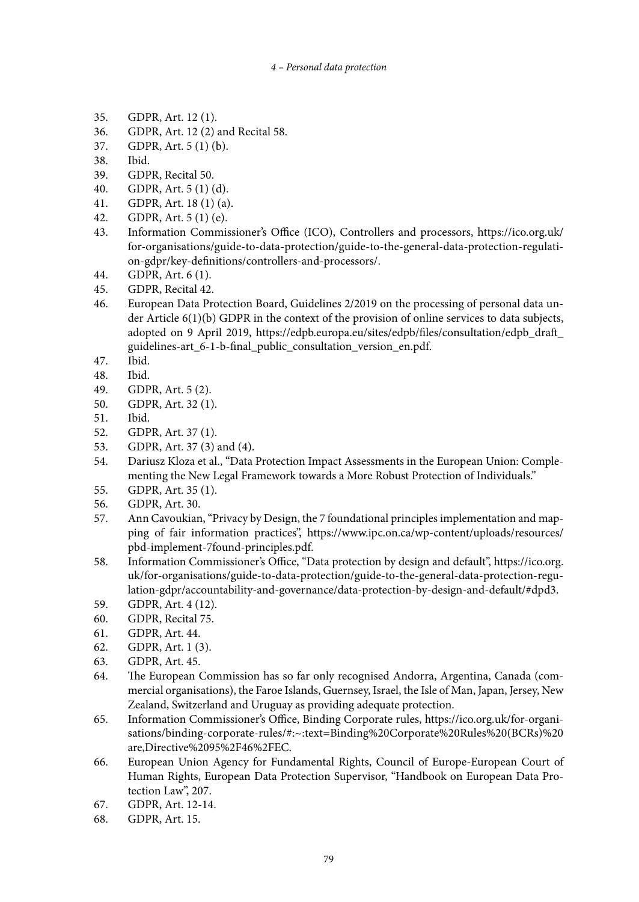#### *4 – Personal data protection*

- 35. GDPR, Art. 12 (1).
- 36. GDPR, Art. 12 (2) and Recital 58.
- 37. GDPR, Art. 5 (1) (b).
- 38. Ibid.
- 39. GDPR, Recital 50.
- 40. GDPR, Art. 5 (1) (d).
- 41. GDPR, Art. 18 (1) (a).
- 42. GDPR, Art. 5 (1) (e).
- 43. Information Commissioner's Office (ICO), Controllers and processors, [https://ico.org.uk/](https://ico.org.uk/for-organisations/guide-to-data-protection/guide-to-the-general-data-protection-regulation-gdpr/key-definitions/controllers-and-processors/) [for-organisations/guide-to-data-protection/guide-to-the-general-data-protection-regulati](https://ico.org.uk/for-organisations/guide-to-data-protection/guide-to-the-general-data-protection-regulation-gdpr/key-definitions/controllers-and-processors/)[on-gdpr/key-definitions/controllers-and-processors/](https://ico.org.uk/for-organisations/guide-to-data-protection/guide-to-the-general-data-protection-regulation-gdpr/key-definitions/controllers-and-processors/).
- 44. GDPR, Art. 6 (1).
- 45. GDPR, Recital 42.
- 46. European Data Protection Board, Guidelines 2/2019 on the processing of personal data under Article 6(1)(b) GDPR in the context of the provision of online services to data subjects, adopted on 9 April 2019, [https://edpb.europa.eu/sites/edpb/files/consultation/edpb\\_draft\\_](https://edpb.europa.eu/sites/edpb/files/consultation/edpb_draft_guidelines-art_6-1-b-final_public_consultation_version_en.pdf) [guidelines-art\\_6-1-b-final\\_public\\_consultation\\_version\\_en.pdf.](https://edpb.europa.eu/sites/edpb/files/consultation/edpb_draft_guidelines-art_6-1-b-final_public_consultation_version_en.pdf)
- 47. Ibid.
- 48. Ibid.<br>49. GDP
- GDPR, Art. 5 (2).
- 50. GDPR, Art. 32 (1).
- 51. Ibid.
- 52. GDPR, Art. 37 (1).<br>53. GDPR, Art. 37 (3)
- 53. GDPR, Art. 37 (3) and (4).
- 54. Dariusz Kloza et al., "Data Protection Impact Assessments in the European Union: Complementing the New Legal Framework towards a More Robust Protection of Individuals."
- 55. GDPR, Art. 35 (1).
- 56. GDPR, Art. 30.<br>57. Ann Cavoukian
- Ann Cavoukian, "Privacy by Design, the 7 foundational principles implementation and mapping of fair information practices", [https://www.ipc.on.ca/wp-content/uploads/resources/](https://www.ipc.on.ca/wp-content/uploads/resources/pbd-implement-7found-principles.pdf) [pbd-implement-7found-principles.pdf.](https://www.ipc.on.ca/wp-content/uploads/resources/pbd-implement-7found-principles.pdf)
- 58. Information Commissioner's Office, "Data protection by design and default", [https://ico.org.](https://ico.org.uk/for-organisations/guide-to-data-protection/guide-to-the-general-data-protection-regulation-gdpr/accountability-and-governance/data-protection-by-design-and-default/#dpd3) [uk/for-organisations/guide-to-data-protection/guide-to-the-general-data-protection-regu](https://ico.org.uk/for-organisations/guide-to-data-protection/guide-to-the-general-data-protection-regulation-gdpr/accountability-and-governance/data-protection-by-design-and-default/#dpd3)[lation-gdpr/accountability-and-governance/data-protection-by-design-and-default/#dpd3.](https://ico.org.uk/for-organisations/guide-to-data-protection/guide-to-the-general-data-protection-regulation-gdpr/accountability-and-governance/data-protection-by-design-and-default/#dpd3)
- 59. GDPR, Art. 4 (12).
- 60. GDPR, Recital 75.
- 61. GDPR, Art. 44.
- 62. GDPR, Art. 1 (3).
- 63. GDPR, Art. 45.
- 64. The European Commission has so far only recognised Andorra, Argentina, Canada (commercial organisations), the Faroe Islands, Guernsey, Israel, the Isle of Man, Japan, Jersey, New Zealand, Switzerland and Uruguay as providing adequate protection.
- 65. Information Commissioner's Office, Binding Corporate rules, [https://ico.org.uk/for-organi](https://ico.org.uk/for-organisations/binding-corporate-rules/#)[sations/binding-corporate-rules/#](https://ico.org.uk/for-organisations/binding-corporate-rules/#):~:text=Binding%20Corporate%20Rules%20(BCRs)%20 are,Directive%2095%2F46%2FEC.
- 66. European Union Agency for Fundamental Rights, Council of Europe-European Court of Human Rights, European Data Protection Supervisor, "Handbook on European Data Protection Law", 207.
- 67. GDPR, Art. 12-14.
- 68. GDPR, Art. 15.